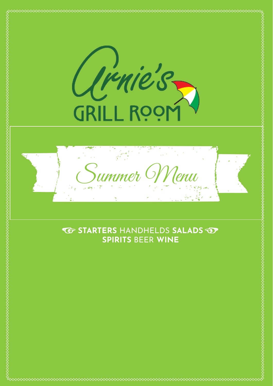

# **TO STARTERS HANDHELDS SALADS TO SPIRITS BEER WINE**